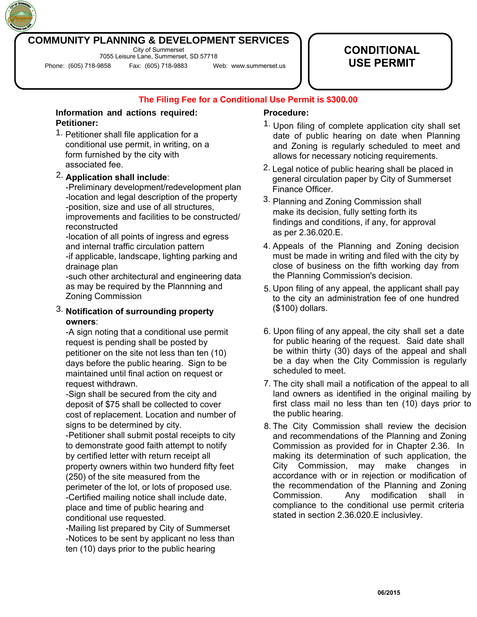## **COMMUNITY PLANNING & DEVELOPMENT SERVICES**

City of Summerset 7055 Leisure Lane, Summerset, SD 57718

Phone: (605) 718-9858 Fax: (605) 718-9883 Web: www.summerset.us

# **CONDITIONAL USE PERMIT**

**The Filing Fee for a Conditional Use Permit is \$300.00**

#### **Petitioner: Information and actions required:**

1. Petitioner shall file application for a conditional use permit, in writing, on a form furnished by the city with associated fee.

### 2. **Application shall include**:

-Preliminary development/redevelopment plan -location and legal description of the property -position, size and use of all structures, improvements and facilities to be constructed/ reconstructed

-location of all points of ingress and egress and internal traffic circulation pattern -if applicable, landscape, lighting parking and drainage plan

-such other architectural and engineering data as may be required by the Plannning and Zoning Commission

### 3. **Notification of surrounding property owners**:

-A sign noting that a conditional use permit request is pending shall be posted by petitioner on the site not less than ten (10) days before the public hearing. Sign to be maintained until final action on request or request withdrawn.

-Sign shall be secured from the city and deposit of \$75 shall be collected to cover cost of replacement. Location and number of signs to be determined by city.

-Petitioner shall submit postal receipts to city to demonstrate good faith attempt to notify by certified letter with return receipt all property owners within two hunderd fifty feet (250) of the site measured from the perimeter of the lot, or lots of proposed use. -Certified mailing notice shall include date, place and time of public hearing and conditional use requested.

-Mailing list prepared by City of Summerset -Notices to be sent by applicant no less than ten (10) days prior to the public hearing

#### **Procedure:**

- 1. Upon filing of complete application city shall set date of public hearing on date when Planning and Zoning is regularly scheduled to meet and allows for necessary noticing requirements.
- 2. Legal notice of public hearing shall be placed in general circulation paper by City of Summerset Finance Officer.
- 3. Planning and Zoning Commission shall make its decision, fully setting forth its findings and conditions, if any, for approval as per 2.36.020.E.
- 4. Appeals of the Planning and Zoning decision must be made in writing and filed with the city by close of business on the fifth working day from the Planning Commission's decision.
- 5. Upon filing of any appeal, the applicant shall pay to the city an administration fee of one hundred (\$100) dollars.
- 6. Upon filing of any appeal, the city shall set a date for public hearing of the request. Said date shall be within thirty (30) days of the appeal and shall be a day when the City Commission is regularly scheduled to meet.
- 7. The city shall mail a notification of the appeal to all land owners as identified in the original mailing by first class mail no less than ten (10) days prior to the public hearing.
- 8. The City Commission shall review the decision and recommendations of the Planning and Zoning Commission as provided for in Chapter 2.36. In making its determination of such application, the City Commission, may make changes in accordance with or in rejection or modification of the recommendation of the Planning and Zoning Commission. Any modification shall in compliance to the conditional use permit criteria stated in section 2.36.020.E inclusivley.